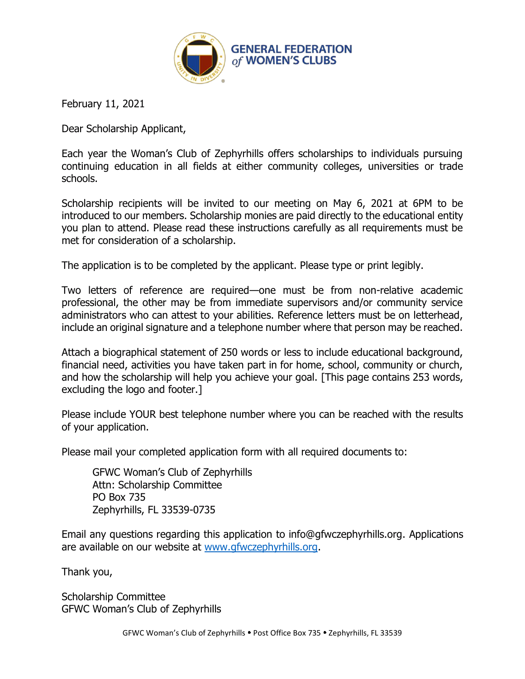

February 11, 2021

Dear Scholarship Applicant,

Each year the Woman's Club of Zephyrhills offers scholarships to individuals pursuing continuing education in all fields at either community colleges, universities or trade schools.

Scholarship recipients will be invited to our meeting on May 6, 2021 at 6PM to be introduced to our members. Scholarship monies are paid directly to the educational entity you plan to attend. Please read these instructions carefully as all requirements must be met for consideration of a scholarship.

The application is to be completed by the applicant. Please type or print legibly.

Two letters of reference are required—one must be from non-relative academic professional, the other may be from immediate supervisors and/or community service administrators who can attest to your abilities. Reference letters must be on letterhead, include an original signature and a telephone number where that person may be reached.

Attach a biographical statement of 250 words or less to include educational background, financial need, activities you have taken part in for home, school, community or church, and how the scholarship will help you achieve your goal. [This page contains 253 words, excluding the logo and footer.]

Please include YOUR best telephone number where you can be reached with the results of your application.

Please mail your completed application form with all required documents to:

GFWC Woman's Club of Zephyrhills Attn: Scholarship Committee PO Box 735 Zephyrhills, FL 33539-0735

Email any questions regarding this application to info@gfwczephyrhills.org. Applications are available on our website at www.gfwczephyrhills.org.

Thank you,

Scholarship Committee GFWC Woman's Club of Zephyrhills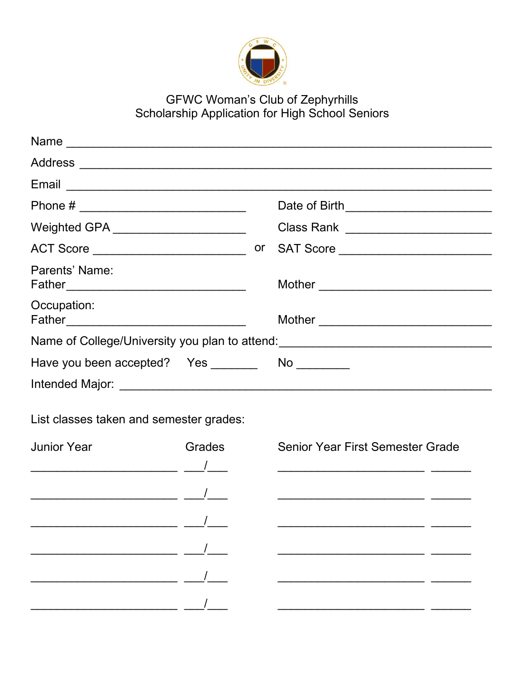

## GFWC Woman's Club of Zephyrhills<br>Scholarship Application for High School Seniors

| Weighted GPA _________________________ |                                                                                                                   |
|----------------------------------------|-------------------------------------------------------------------------------------------------------------------|
|                                        |                                                                                                                   |
| Parents' Name:                         |                                                                                                                   |
| Occupation:                            |                                                                                                                   |
|                                        | Name of College/University you plan to attend: <b>Manual Acceptance of College/University you plan to attend:</b> |
|                                        |                                                                                                                   |
| Intended Major:                        |                                                                                                                   |

List classes taken and semester grades:

| <b>Junior Year</b> | Grades | Senior Year First Semester Grade                           |
|--------------------|--------|------------------------------------------------------------|
|                    |        | <u> 1990 - Johann John Stoff, fransk politik (f. 1918)</u> |
|                    |        |                                                            |
|                    |        |                                                            |
|                    |        |                                                            |
|                    |        |                                                            |